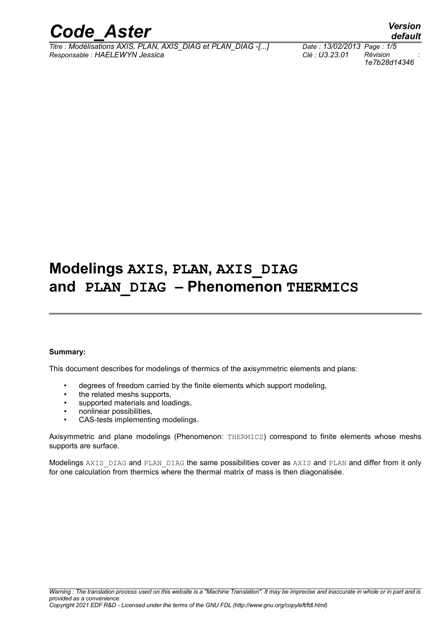

## *default*

## **Modelings AXIS, PLAN, AXIS\_DIAG and PLAN\_DIAG – Phenomenon THERMICS**

### **Summary:**

This document describes for modelings of thermics of the axisymmetric elements and plans:

- degrees of freedom carried by the finite elements which support modeling,
- the related meshs supports.
- supported materials and loadings,
- nonlinear possibilities,
- CAS-tests implementing modelings.

Axisymmetric and plane modelings (Phenomenon: THERMICS) correspond to finite elements whose meshs supports are surface.

Modelings AXIS\_DIAG and PLAN\_DIAG the same possibilities cover as AXIS and PLAN and differ from it only for one calculation from thermics where the thermal matrix of mass is then diagonalisée.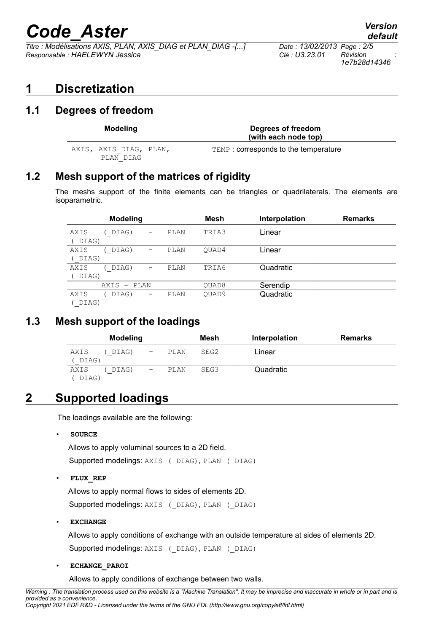# *Code\_Aster Version*

*Titre : Modélisations AXIS, PLAN, AXIS\_DIAG et PLAN\_DIAG -[...] Date : 13/02/2013 Page : 2/5 Responsable : HAELEWYN Jessica Clé : U3.23.01 Révision :*

*1e7b28d14346*

## **1 Discretization**

### **1.1 Degrees of freedom**

| Modeling |                                     |  | Degrees of freedom<br>(with each node top) |  |  |
|----------|-------------------------------------|--|--------------------------------------------|--|--|
|          | AXIS, AXIS DIAG, PLAN,<br>PLAN DIAG |  | TEMP : corresponds to the temperature      |  |  |

## **1.2 Mesh support of the matrices of rigidity**

The meshs support of the finite elements can be triangles or quadrilaterals. The elements are isoparametric.

| <b>Modeling</b> |       |   |      | Mesh  | Interpolation | <b>Remarks</b> |
|-----------------|-------|---|------|-------|---------------|----------------|
| AXIS            | DIAG) | - | PLAN | TRIA3 | Linear        |                |
| DIAG)           |       |   |      |       |               |                |
| AXIS            | DIAG) | - | PLAN | OUAD4 | Linear        |                |
| DIAG)           |       |   |      |       |               |                |
| AXIS            | DIAG) | - | PLAN | TRIA6 | Quadratic     |                |
| DIAG)           |       |   |      |       |               |                |
| $AXIS - PLAN$   |       |   |      | OUAD8 | Serendip      |                |
| AXIS            | DIAG) | - | PLAN | OUAD9 | Quadratic     |                |
| DIAG)           |       |   |      |       |               |                |

## **1.3 Mesh support of the loadings**

| <b>Modeling</b>        |                                  | Mesh | Interpolation | <b>Remarks</b> |
|------------------------|----------------------------------|------|---------------|----------------|
| AXIS<br>DIAG)<br>DIAG) | PLAN<br>$\overline{\phantom{m}}$ | SEG2 | Linear        |                |
| AXIS<br>DIAG)<br>DIAG) | PLAN<br>$\overline{\phantom{m}}$ | SEG3 | Quadratic     |                |

## **2 Supported loadings**

The loadings available are the following:

### • **SOURCE**

Allows to apply voluminal sources to a 2D field.

Supported modelings: AXIS ( DIAG), PLAN ( DIAG)

### • **FLUX\_REP**

Allows to apply normal flows to sides of elements 2D.

Supported modelings: AXIS ( DIAG), PLAN ( DIAG)

### • **EXCHANGE**

Allows to apply conditions of exchange with an outside temperature at sides of elements 2D. Supported modelings: AXIS ( DIAG), PLAN ( DIAG)

• **ECHANGE\_PAROI**

Allows to apply conditions of exchange between two walls.

*Warning : The translation process used on this website is a "Machine Translation". It may be imprecise and inaccurate in whole or in part and is provided as a convenience. Copyright 2021 EDF R&D - Licensed under the terms of the GNU FDL (http://www.gnu.org/copyleft/fdl.html)*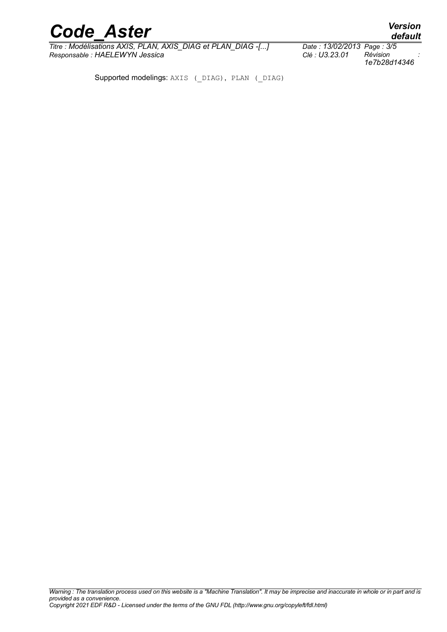

*Titre : Modélisations AXIS, PLAN, AXIS\_DIAG et PLAN\_DIAG -[...] Date : 13/02/2013 Page : 3/5 Responsable : HAELEWYN Jessica Clé : U3.23.01 Révision :*

*default 1e7b28d14346*

Supported modelings: AXIS (\_DIAG), PLAN (\_DIAG)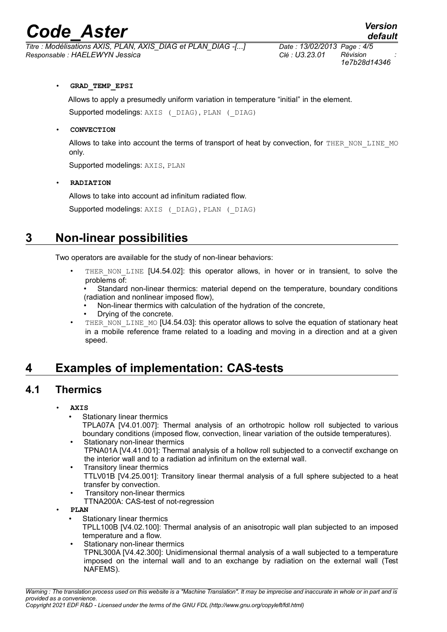## *Code\_Aster Version*

*Titre : Modélisations AXIS, PLAN, AXIS\_DIAG et PLAN\_DIAG -[...] Date : 13/02/2013 Page : 4/5 Responsable : HAELEWYN Jessica Clé : U3.23.01 Révision :*

### • **GRAD\_TEMP\_EPSI**

Allows to apply a presumedly uniform variation in temperature "initial" in the element. Supported modelings: AXIS ( DIAG), PLAN ( DIAG)

### • **CONVECTION**

Allows to take into account the terms of transport of heat by convection, for THER\_NON\_LINE\_MO only.

Supported modelings: AXIS, PLAN

### • **RADIATION**

Allows to take into account ad infinitum radiated flow.

Supported modelings: AXIS ( DIAG), PLAN ( DIAG)

## **3 Non-linear possibilities**

Two operators are available for the study of non-linear behaviors:

THER NON LINE [U4.54.02]: this operator allows, in hover or in transient, to solve the problems of:

• Standard non-linear thermics: material depend on the temperature, boundary conditions (radiation and nonlinear imposed flow),

- Non-linear thermics with calculation of the hydration of the concrete,
- Drying of the concrete.
- THER\_NON\_LINE\_MO [U4.54.03]: this operator allows to solve the equation of stationary heat in a mobile reference frame related to a loading and moving in a direction and at a given speed.

## **4 Examples of implementation: CAS-tests**

## **4.1 Thermics**

- **AXIS**
	- Stationary linear thermics
		- TPLA07A [V4.01.007]: Thermal analysis of an orthotropic hollow roll subjected to various boundary conditions (imposed flow, convection, linear variation of the outside temperatures).
	- Stationary non-linear thermics TPNA01A [V4.41.001]: Thermal analysis of a hollow roll subjected to a convectif exchange on the interior wall and to a radiation ad infinitum on the external wall.
	- Transitory linear thermics TTLV01B [V4.25.001]: Transitory linear thermal analysis of a full sphere subjected to a heat transfer by convection.
	- Transitory non-linear thermics
	- TTNA200A: CAS-test of not-regression
- **PLAN**
	- Stationary linear thermics
		- TPLL100B [V4.02.100]: Thermal analysis of an anisotropic wall plan subjected to an imposed temperature and a flow.
	- Stationary non-linear thermics TPNL300A [V4.42.300]: Unidimensional thermal analysis of a wall subjected to a temperature imposed on the internal wall and to an exchange by radiation on the external wall (Test NAFEMS).